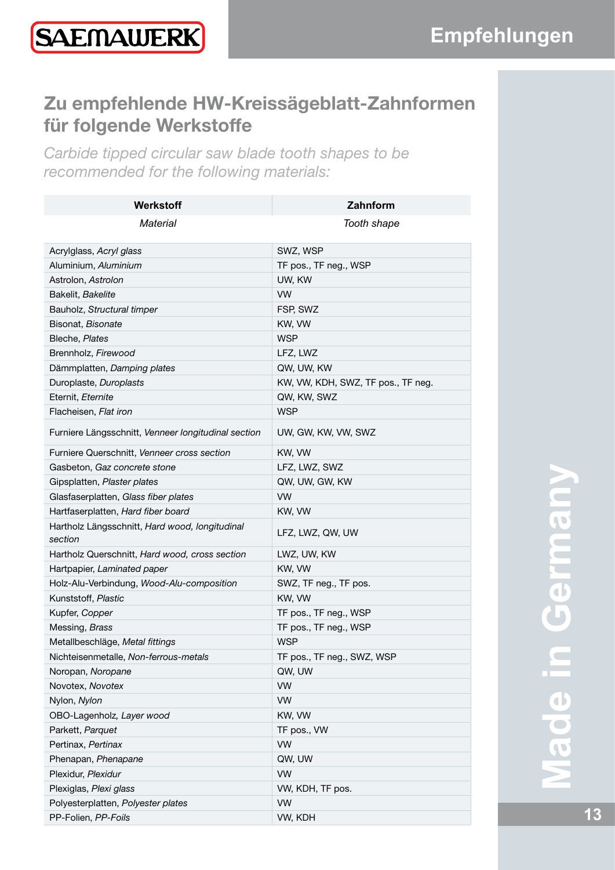## **Zu empfehlende HW-Kreissägeblatt-Zahnformen für folgende Werkstoffe**

*Carbide tipped circular saw blade tooth shapes to be recommended for the following materials:*

| Werkstoff                                                 | Zahnform                                         |
|-----------------------------------------------------------|--------------------------------------------------|
| Material                                                  | Tooth shape                                      |
|                                                           |                                                  |
| Acrylglass, Acryl glass                                   | SWZ, WSP                                         |
| Aluminium, Aluminium<br>Astrolon, Astrolon                | TF pos., TF neg., WSP<br>UW, KW                  |
|                                                           | <b>VW</b>                                        |
| Bakelit, Bakelite<br>Bauholz, Structural timper           | FSP, SWZ                                         |
| Bisonat, Bisonate                                         | KW, VW                                           |
| Bleche, Plates                                            | <b>WSP</b>                                       |
| Brennholz, Firewood                                       | LFZ, LWZ                                         |
|                                                           |                                                  |
| Dämmplatten, Damping plates<br>Duroplaste, Duroplasts     | QW, UW, KW<br>KW, VW, KDH, SWZ, TF pos., TF neg. |
| Eternit, Eternite                                         | QW, KW, SWZ                                      |
| Flacheisen, Flat iron                                     | <b>WSP</b>                                       |
| Furniere Längsschnitt, Venneer longitudinal section       | UW, GW, KW, VW, SWZ                              |
| Furniere Querschnitt, Venneer cross section               | KW, VW                                           |
| Gasbeton, Gaz concrete stone                              | LFZ, LWZ, SWZ                                    |
| Gipsplatten, Plaster plates                               | QW, UW, GW, KW                                   |
| Glasfaserplatten, Glass fiber plates                      | <b>VW</b>                                        |
| Hartfaserplatten, Hard fiber board                        | KW, VW                                           |
| Hartholz Längsschnitt, Hard wood, longitudinal<br>section | LFZ, LWZ, QW, UW                                 |
| Hartholz Querschnitt, Hard wood, cross section            | LWZ, UW, KW                                      |
| Hartpapier, Laminated paper                               | KW, VW                                           |
| Holz-Alu-Verbindung, Wood-Alu-composition                 | SWZ, TF neg., TF pos.                            |
| Kunststoff, Plastic                                       | KW, VW                                           |
| Kupfer, Copper                                            | TF pos., TF neg., WSP                            |
| Messing, Brass                                            | TF pos., TF neg., WSP                            |
| Metallbeschläge, Metal fittings                           | <b>WSP</b>                                       |
| Nichteisenmetalle, Non-ferrous-metals                     | TF pos., TF neg., SWZ, WSP                       |
| Noropan, Noropane                                         | QW, UW                                           |
| Novotex, Novotex                                          | <b>VW</b>                                        |
| Nylon, Nylon                                              | VW                                               |
| OBO-Lagenholz, Layer wood                                 | KW, VW                                           |
| Parkett, Parquet                                          | TF pos., VW                                      |
| Pertinax, Pertinax                                        | <b>VW</b>                                        |
| Phenapan, Phenapane                                       | QW, UW                                           |
| Plexidur, Plexidur                                        | <b>VW</b>                                        |
| Plexiglas, Plexi glass                                    | VW, KDH, TF pos.                                 |
| Polyesterplatten, Polyester plates                        | <b>VW</b>                                        |
| PP-Folien, PP-Foils                                       | VW, KDH                                          |